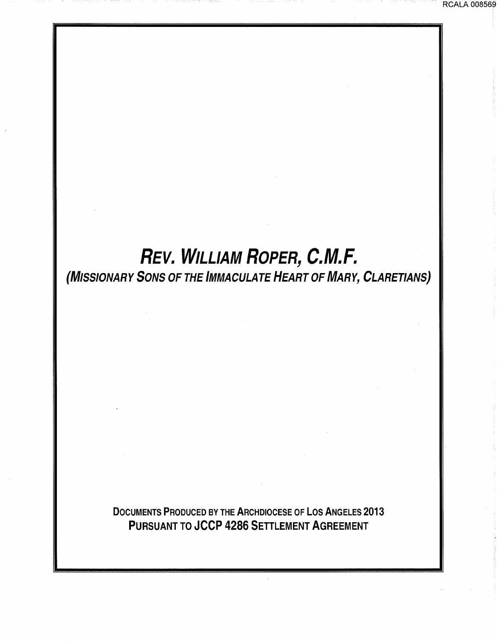RCALA 008569

# *REV.* WILLIAM *ROPER,* **C.M.F.**  (MISSIONARY SONS OF THE IMMACULATE HEART OF MARY, CLARETIANS)

DOCUMENTS PRODUCED BY THE ARCHDIOCESE OF LOS ANGELES 2013 PURSUANT TO JCCP 4286 SETTLEMENT AGREEMENT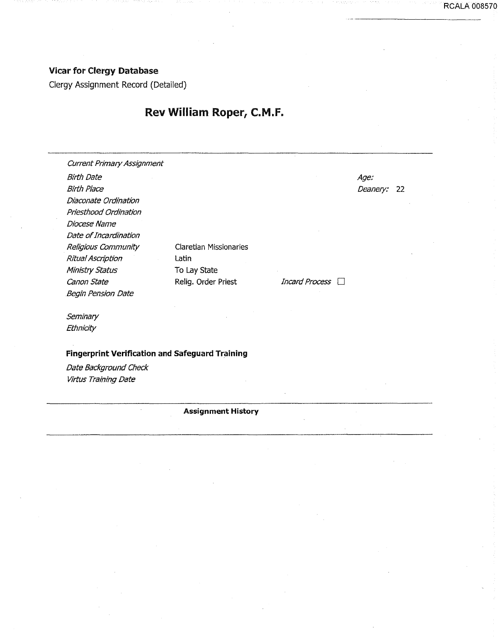## Vicar for Clergy Database

Clergy Assignment Record (Detailed)

## Rev William Roper, C.M.F.

Current Primary Assignment Birth Date Birth Place Diaconate Ordination Priesthood Ordination Diocese Name Date of Incardination Religious Community Ritual Ascription Ministry Status canon State Begin Pension Date

Claretian Missionaries Latin To Lay State Relig. Order Priest

Age: Deanery: 22 RCALA 008570

Incard Process  $\Box$ 

**Seminary Ethnicity** 

**Fingerprint Verification and Safeguard Training** 

Date Background Check Virtus Training Date

#### **Assignment History**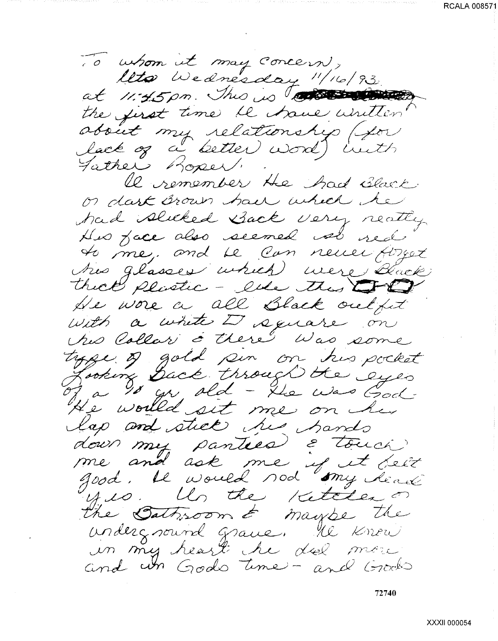RCALA 008571

To whom it may concern,<br>leto Wednesday "/16/93.<br>at 11:45pm. This is to the common the first time le trave untten obsiet my relationship (for lack of a better word) in the Father Roper. le remember He had Black or dark Brown have which he had slicked Back very reating His face also seemed we red to me, and be can never forget this glasses which were duck thick plastic - ever this CPP He wore a all Black outfut with a white I square on his Collar & there" Was some tyge of gold sin on his pocket He would sit me on her lap and stick his hands down my panties & touch<br>me and ask me if it belt<br>good. It would nod my dead undergnourd grave. He know in my heart he doe more and in Gods time - and Grocks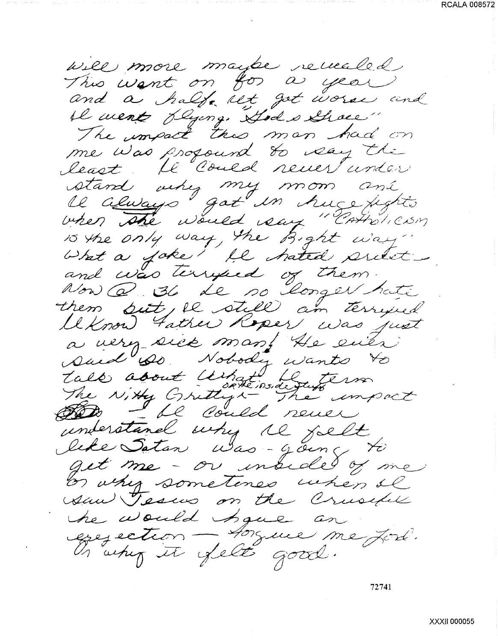will more maybe receiled This want on for a year and a half let got worse and il ment dyng. Hod schoes" The umpact this man had on me was propound to say the least. He Could never under stand very my mom and<br>Il always got in huse fights<br>when the would say "Correliesm 10 the only way, the Bight way" them but, le still am terrified Uknow Father Roper was just a very sick man! He even tale about What is Louis error understand why the fallt like Satan Was-going to get me - or inside of me or why sometimes when il saw Tesus on the Crusipe he would have an exercetion - Assure me fort.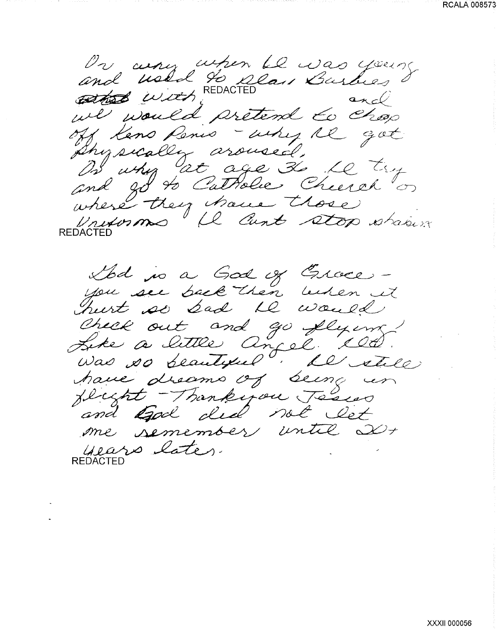On any when Le was young we would pretend to chop off Keno Renis - why the got Shysically aroused. B'ushy at age to be try where they have those

Ibd is a God of Groce -<br>you see back then behen it Check out and go flying!<br>Like a little angel 1905. have dreams of being in and God did not let me semember until 20+ years later. **REDACTED**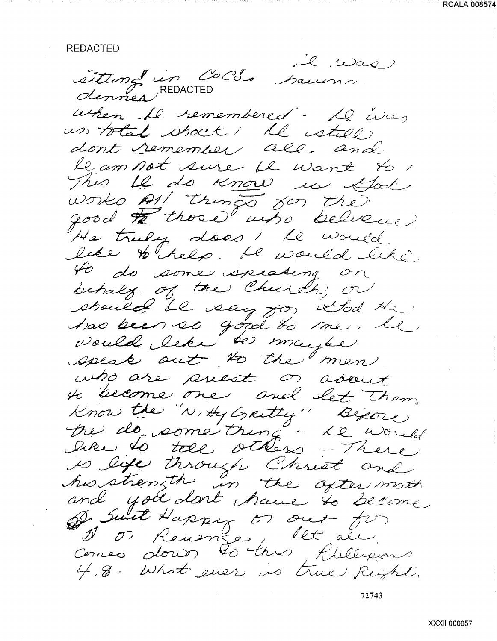REDACTED

l vas sitting in Coco. Saumo when the remembered. Le was un total shock! Il estell dont remember all and le am not sure il want to This 12 do know is God works All things for the good to those who believe He truly does I le would like thelp. He would like to do some speaking on behalf of the Church, or should be say for Sod the who are prest or about to become one and let them Know the "N, Hy Greetly" Begine Me de some tring. Le would is life through Christ and<br>his strength in the often math<br>and you dont have to become<br>of suit Happy or out for 4.8. What ever is true Right.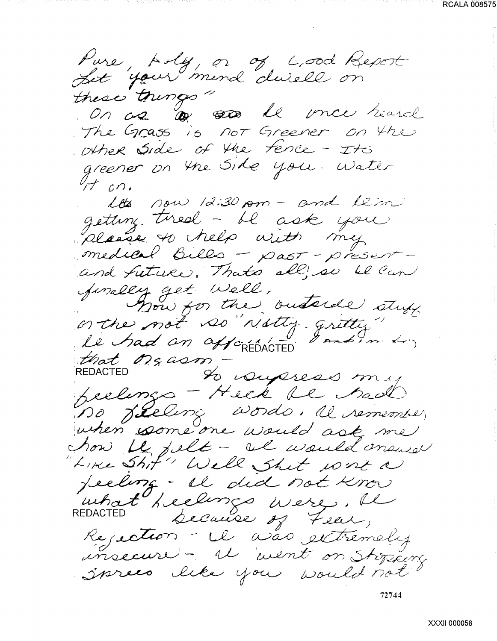RCALA 008575

Pure, poly, or of cood Report these tourgo" On as le me riard The Grass is not Greener on the other Side of the fence - Its greener on the Side you. Water  $\frac{1}{1}$  on. Lots now 12:30 pm - and Leim getting tired - il ask you<br>please to help with my<br>medical bills - past - present and future. Thats all's so be can finally get Well,<br>on the not so the outside stuff that Mg asm to conferes my feelings - Heck be had Bo Jelevig Words, il remembrer how be jelt - al would answer "Like Shit" Well Shit work a Jeeling - Il did not know uthat heelings were. Il REDACTED Rejection - il was extremely Sprees like you would not 72744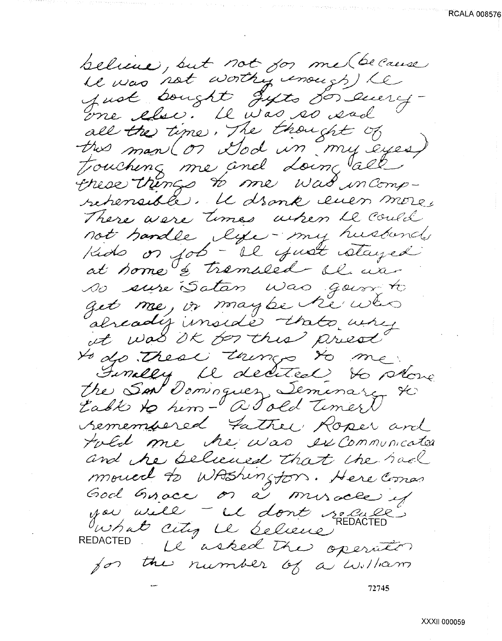believe, but not sor me (because all the time. The thought of trouching me and doing all these things to me was incompretensible. Il dronk even more, There were times when he could not handle lye-my husbands Kids or job - il yust stayed at some & tremaled al user so sure Satan was going to get me, or maybe he who already inside thats why at was ok for this prest to do these things to me. Inselly il dedited to show the San Dominguer Seminary to table to him- a Told Timer remembered Father Roper and told me he was excommunicated and the believed that the had moved to WAShington. Here Comes God Grace or a miracle if you uill - il dont solule what city is believe REDACTED . Le asked the operator for the number of a william 72745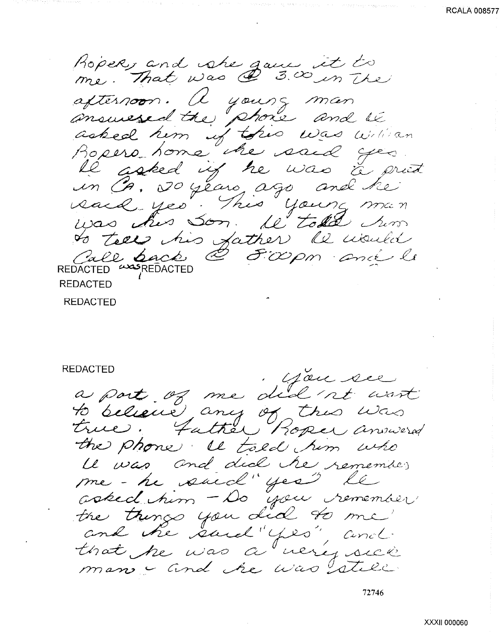**RCALA 00857** 

Roper, and she game it to me. Mac Da C. 211 afternoon. A yours man answesed the phone and le asked him if this was willian<br>Ropero home the said yes *J/70 pero mome one voice for* in Ca, 20 years ago and he said yes. This young man uas his Son. Le total since was this Son il told non REDACTED

REDACTED

REDACTED<br>a part of me did 'nt wast<br>to believe any of this was the phone. It told him who Le vas and did tre remembre me-he suid" yes" le asked him - Do you remember the things you did to me that he was a very sick man - and the was still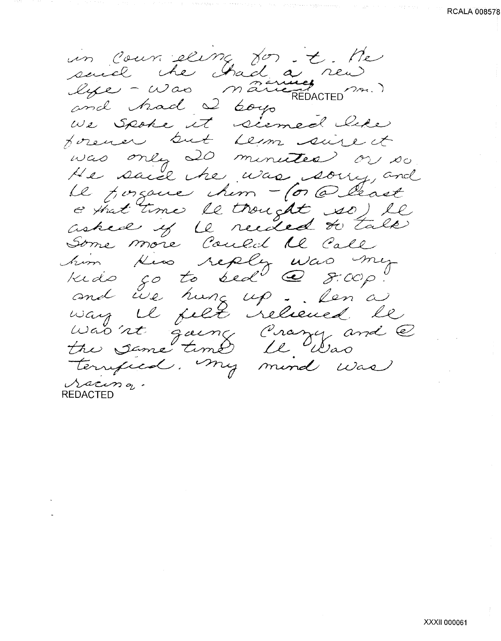un courrieling for it. He and had 2 boys<br>We spoke it siemed like was only 20 minutes or so.<br>He said the was soiry, and Le posque chem - (or @ least e that time le trought so) le Some more Could 12 Call him Kin reply was my and live hang up. Len'a Was it gaing Prazy and @<br>the same time le Was<br>terrified. My mind was Sacing.

**REDACTED**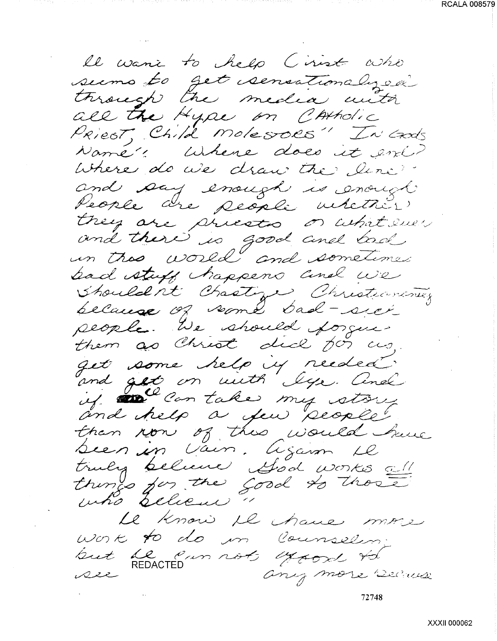le want to help Cirist who seems to get sensationalyser through the media with all the Hype on CAMAdic Priest, Child Molesoes" In Crods Namé" Where does it eni? Where do we draw the line. and say enough is enough trey are priesto or whit sues bad stuff happens and we Shouldn't Chastize Christianistic people. We should forgue. them as Christ dick for us, get some help is reeded. and get on with lye. And than now of this would have been in voir. Agann Le truly believe God works all things for the good to those Le know il chane more work to do in Counselin. but he can not expose to any more secure ass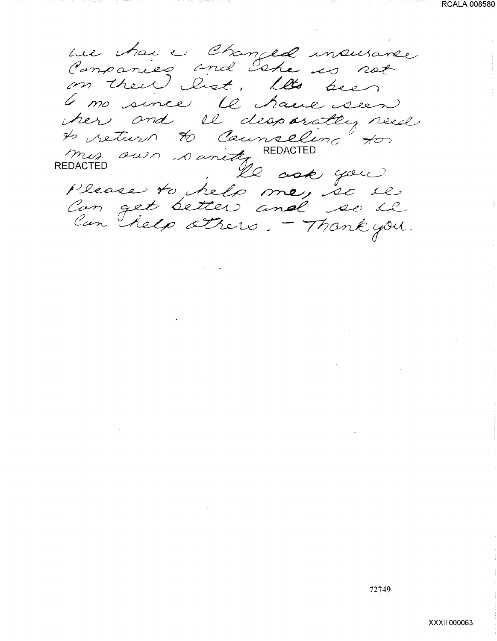**RCALA 008580** 

ue hai e Changed insurance on their list. It's been 6 no since le have seen her and il desparately reed to return to Counseling to REDACTED le ask you Please to help me, so il Can get better and se se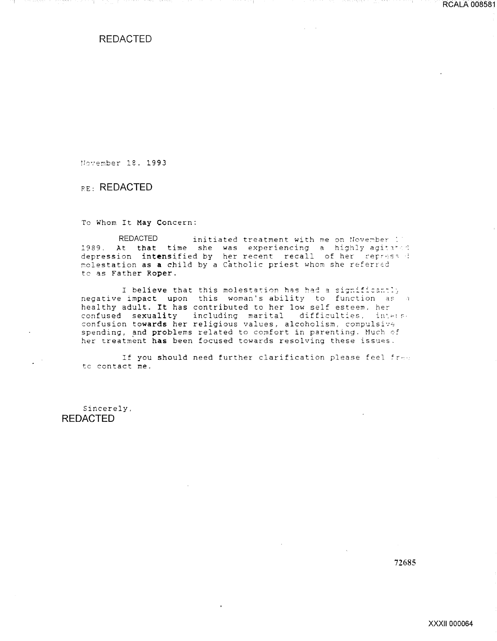REDACTED

November 18, 1993

RE: REDACTED

To Whom It May Concern:

REDACTED initiated treatment with me on November : 1989. At that time she was experiencing a highly agi:1· depression intensified by her recent recall of her repress wepression inconstruct by net research rooming of net respective to the referred to as Father Roper.

I believe that this molestation has had a significantly negative impact upon this woman's ability to function as a healthy adult. It has contributed to her low self esteem. *hec*  confused sexuality including marital difficulties, interse confusion towards her religious values, alcoholism, compulsive spending, and problems related to comfort in parenting. Much of her treatment has been focused towards resolving these issues.

If you should need further clarification please feel  ${fr-}$ . tc contact me.

Sincerely, REDACTED

72685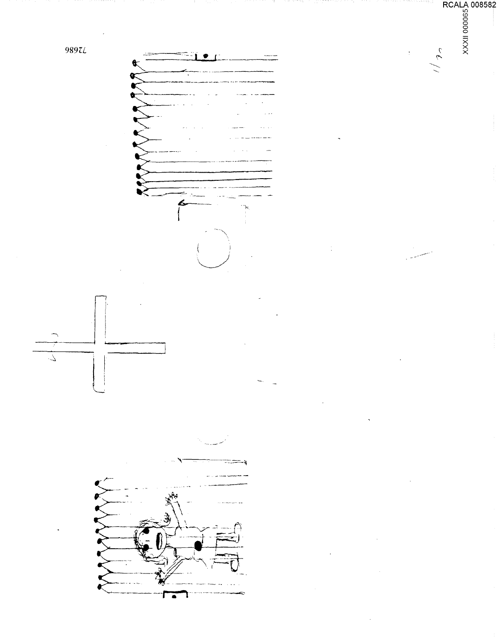

 $\frac{2}{3}$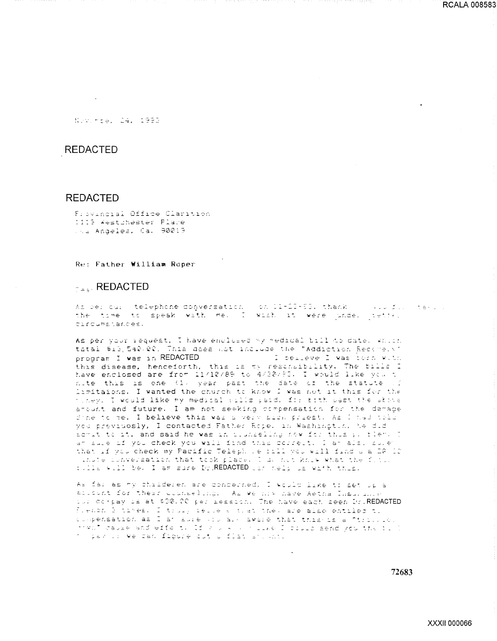Neverse, 24, 1953

## **REDACTED**

#### **REDACTED**

Frovincial Office Clarition 1115 Westchester Place The Andeles, Ca. 90019

Re: Father William Roper

## **Example REDACTED**

As per qui telephone conversation (on 11-13-53, thank () (lu fil (taki) the time to speak with me. I wish it were under tetter circumstances.

As per your request, I have enclosed my medical bill to date, which tatal \$13,540.00, This does not include the "Addiction Recovery" program I was in REDACTED - I belleve I was torn with this disease, henceforth, this is my rescriptibility. The bills I have enclosed are from 11/10/89 to 4/20/89. I would like you t nite this is one (1) year past the date of the statute of limitaions. I wanted the church to know I was not it this for the miney. I would like my medical sills paid, for both past the above arount and future. I am not seeking compensation for the damage dine to me. I believe this was a very side, priest, As I had told you previuosly, I contacted Father Rope, in Washington, he did senit to it, and said he was in cluncelling now for thus y. flem. I an alle if you check you will find this correct. I am also sule that if you check my Pacific Teleph we fill you will find a a DA ID thate conversation that took place. I do not know what the futur fills will be. I am sure Dy REDACTED as held us with this.

As far as my childeren are concerned, I would like to set up a allount for their counseling. As we him have Aetha Insurance the oc-pay is at \$30.00 per ression. The have each seen Dr. REDACTED Flench B times. I truly telle a trat they are also entiled to coopensation as I am sure only also aware that this is a "tricolo mwill cause and effect. If you kould like I could send you the till t par li we can figure out a flat anywhy.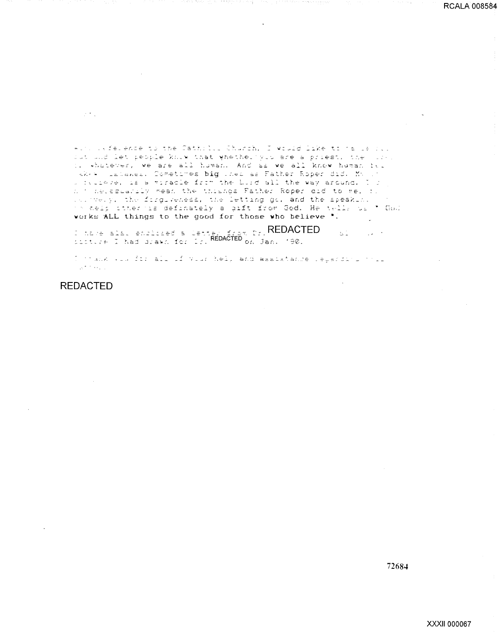with leference to the Cathrill Church, I would like to have rest. dut und let people kniw that whether you are a priest, the sore.<br>Il whatever, we are all human. And as we all know human bil where latenes. Cometimes big theires Father Roper did. My 17 a fulleve, is a wiracle from the buid all the way around. I is a t decessarily mean the thisnes Father Roper aid to me, f. is the y. the forguveness, the letting go, and the speaking th aeip other me definately a pift from God. He tells us \* God verks ALL things to the good for those who believe ".

I nave als, enclosed a let Repacted on Pr. REDACTED (190)  $\mathbb{Z}^{\mathbb{Z}^+}$  $\mathcal{L}^{\text{max}}_{\text{max}}$ 

I mank via for all if your help and assistance regarding must  $\Delta \tau$  to  $\omega_{\rm{max}}$ 

**REDACTED** 

 $\sim 200$  km  $^{-1}$ 

72684

 $\bar{\mathcal{A}}$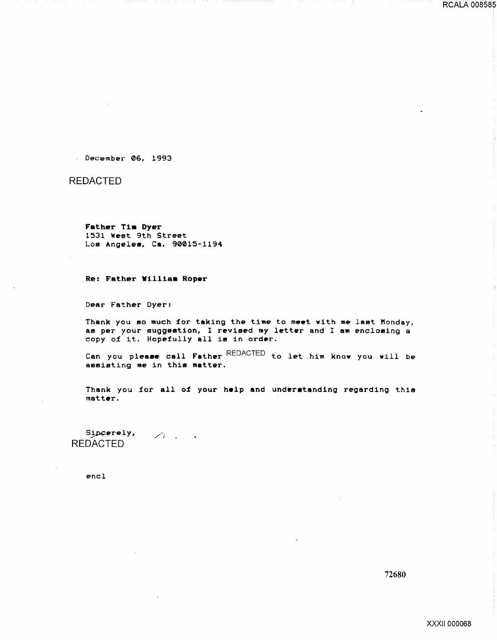December 06, 1993

REDACTED

Father Tim Dyer 1531 West 9th Street Los Angeles, Ca. 90015-1194

Re: Father William Roper

Dear Father Dyer:

Thank you eo much for taking the time to meet vith *me* last Monday, as per your suggestion, I revised my letter and I am enclosing a copy of it. Hopefully all is in order.

Can you please call Father REDACTED to let .him knov you vill be assisting *me* in this matter.

Thank you for all of your help and understanding regarding this matt&r.

Sipcerely,  $/$   $/$ REDACTED

encl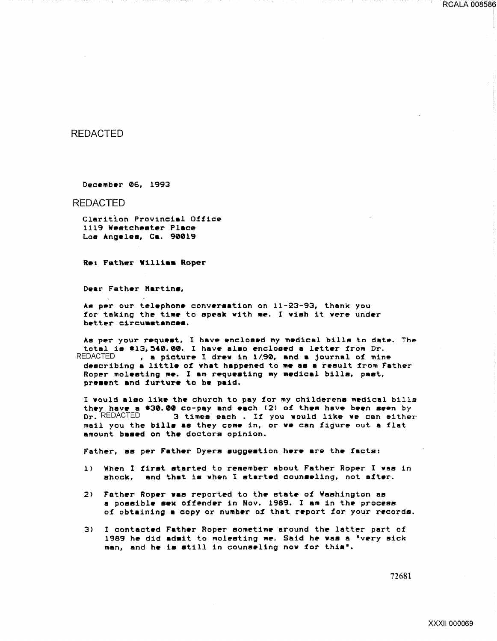## REDACTED

December 06, 1993

REDACTED

Clarition Provincial Office 1119 Westchester Place Loa Angeles, Ca. 90019

Ret Father Villiaa Roper

Dear Father Martins,

As per our telephone conversation on  $11-23-93$ , thank you for taking the time to apeak with me. I wish it were under better circumstances.

As per your request, I have enclosed my medical bills to date. The total is #13,540.00. I have also enclosed a letter from Dr.<br>REDACTED . a picture I drew in 1/90. and a journal of min , a picture I drew in  $1/90$ , and a journal of mine describing a little of what happened to me as a result from Father Roper molesting me. I am requesting my medical bills, past, present and furture to be paid.

I vould also like the church to pay for my childerene medical bills they have a  $$30.00$  co-pay and each (2) of them have been seen by<br> $pr.$  REDACTED  $-3$  times each . If you would like we can either 3 times each . If you would like we can either mail you the bills as they come in, or we can figure out a flat amount based on the doctors opinion.

Father, as per Father Dyers suggestion here are the facts:

- 1> When I first started to remember about Father Roper I was in shock, and that is when I started counseling, not after.
- 2> Father Roper vas reported to the state of Washington as a possible sex offender in Nov. 1989. I am in the process of obtaining a copy or number of that report for your records.
- 3> I contacted Father Roper sometime around the latter part of 1989 he did admit to molesting me. Said he was a "very sick man, and he is still in counseling now for this".

72681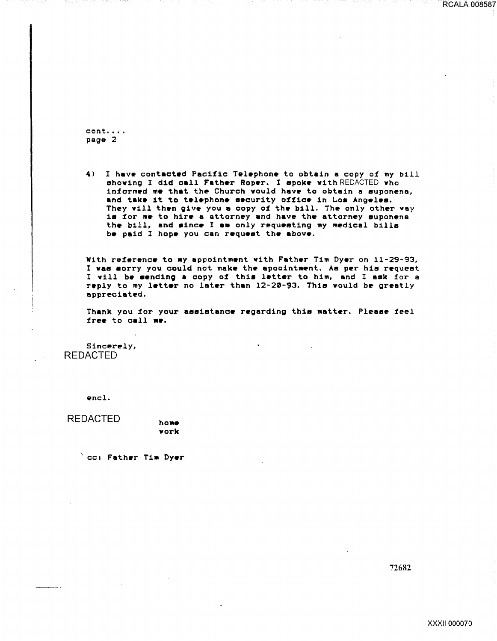$cont. \ldots$ page 2

4> I have contacted Pacific Telephone to obtain a copy of my bill showing I did call Father Roper. I spoke with REDACTED who informed me that the Church would have to obtain a suponena, and take it to telephone security office in Los Angeles. They will then give you a copy of the bill. The only other vay is for me to hire a attorney and have the attorney suponena the bill, and since I am only requesting my medical bills be paid I hope you can request the above.

With reference to my appointment with Father Tim Dyer on 11-29-93, I was sorry you could not make the apoointment. As per his request I will be sending a copy of this letter to him, and I ask for a reply to my letter no later than 12-20-93. This would be greatly appreciated.

Thank you for your assistance regarding this matter. Please feel free to call me.

Sincerely, REDACTED

encl.

----- -

REDACTED home

 $\degree$  cc: Father Tim Dyer

work

72682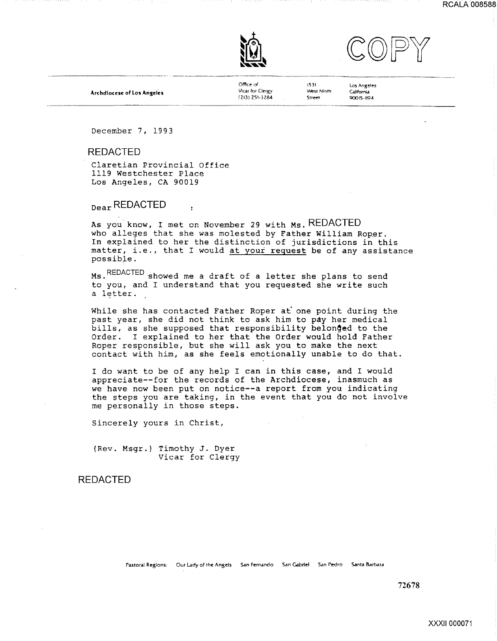





Archdlocese of Los Angeles

Office o( Vicar for Clergy (213) ZSI-3284

1531 'Nest Nlnm Street

Los Angeles Callfomld 90015-1194

December 7, 1993

#### REDACTED

Claretian Provincial Office 1119 Westchester Place Los Angeles, CA 90019

Dear REDACTED

As you know, I met on November 29 with Ms. REDACTED who alleges that she was molested by Father William Roper. In explained to her the distinction of jurisdictions in this matter, i.e., that I would at your reguest be of any assistance possible.

Ms.REDACTED·showed me a draft of a letter she plans to send to you, and I understand that you requested she write such a letter.

While she has contacted Father Roper at one point during the past year, she did not think to ask him to pay her medical bills, as she supposed that responsibility belonged to the Order. I explained to her that the Order would hold Father Roper responsible, but she will ask you to make the next contact with him, as she feels emotionally unable to do that.

I do want to be of any help I can in this case, and I would appreciate--for the records of the Archdiocese, inasmuch as we have now been put on notice--a report from you indicating the steps you are taking, in the event that you do not involve me personally in those steps.

Sincerely yours in Christ,

(Rev. Msgr.) Timothy J. Dyer Vicar for Clergy

#### REDACTED

Pastoral Regions: Our Lady of the Angels San Fernando San Gabriel San Pedro Santa Barbara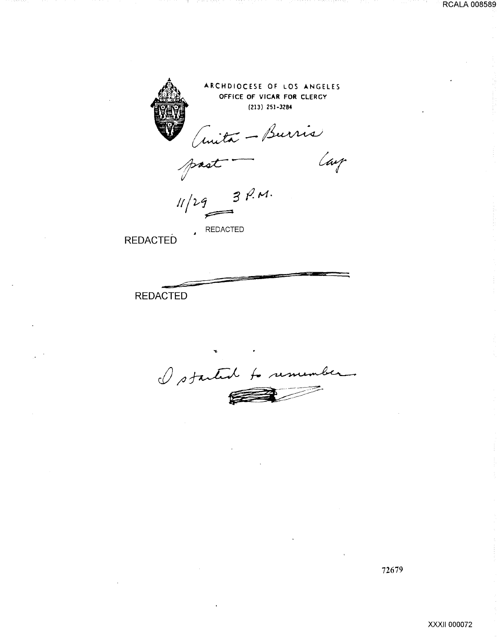

I started to remember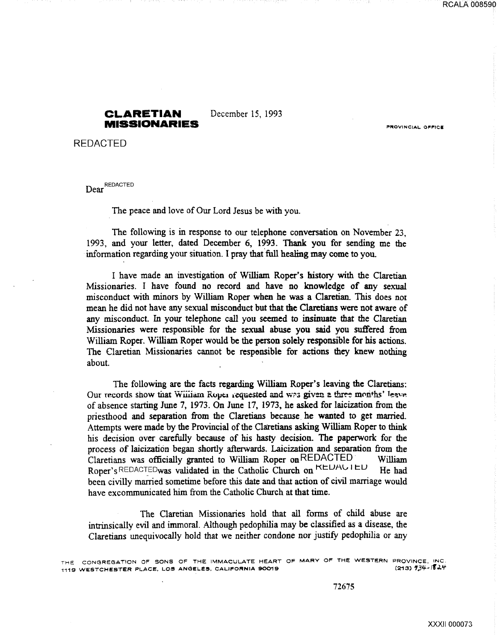### **CLARETIAN** December 15, 1993 **MISSIONARIES**

REDACTED

Dear<sup>REDACTED</sup>

The peace and love of Our Lord Jesus be with you.

The following is in response to our telephone conversation on November 23, 1993, and your letter, dated December 6, 1993. Thank you for sending me the information regarding your situation. I pray that full healing may come to you.

I have made an investigation of William Roper's history with the Claretian Missionaries. I have found no record and have no knowledge of any sexual misconduct with minors by William Roper when he was a Claretian. This does not mean he did not have any sexual misconduct but that the Claretians were not aware of any misconduct. In your telephone call you seemed to insinuate that the Claretian Missionaries were responsible for the sexual abuse you said you suffered from William Roper. William Roper would be the person solely responsible for his actions. The Claretian Missionaries cannot be respensible for actions they knew nothing about.

The following are the facts regarding William Roper's leaving the Claretians: Our records show that William Roper requested and was given a three months' leave. of absence starting June 7, 1973. On June 17, 1973, he asked for laicization from the priesthood and separation from the Claretians because he wanted to get married. Attempts were made by the Provincial of the Claretians asking William Roper to think his decision over carefully because of his hasty decision. The paperwork for the process of laicization began shortly afterwards. Laicization and seoaration from the Claretians was officially granted to William Roper onREDACTED William Roper's REDACTEDwas validated in the Catholic Church on KEUAU 1 EU He had been civilly married sometime before this date and that action of civil marriage would have excommunicated him from the Catholic Church at that time.

The Claretian Missionaries hold that all forms of child abuse are intrinsically evil and immoral. Although pedophilia may be classified as a disease, the Claretians unequivocally hold that we neither condone nor justify pedophilia or any

THE CONGREGATION OF SONS OF THE IMMACULATE HEART OF MARY OF THE WESTERN PROVINCE, INC.<br>1119 WESTCHESTER PLACE, LOS ANGELES, CALIFORNIA 90019 1119 WESTCHESTER PLACE, LOS ANGELES, CALIFORNIA 90019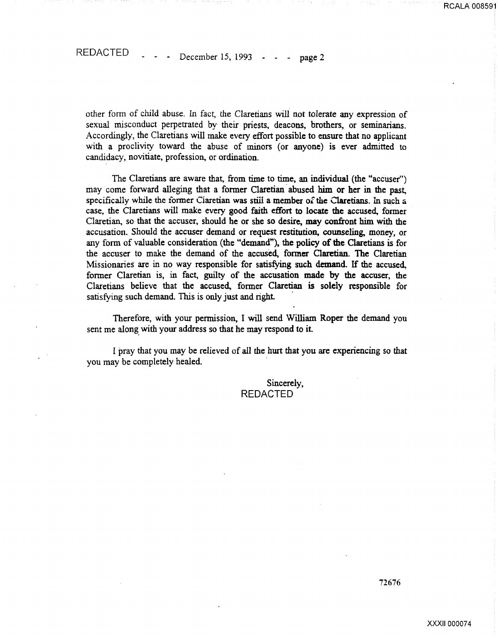other form of child abuse. In fact, the Claretians will not tolerate any expression of sexual misconduct perpetrated by their priests, deacons, brothers, or seminarians. Accordingly, the Claretians will make every effort possible to ensure that no applicant with a proclivity toward the abuse of minors (or anyone) is ever admitted to candidacy, novitiate, profession, or ordination.

The Claretians are aware that, from time to time, an individual (the "accuser") may come forward alleging that a former Claretian abused him or her in the past, specifically while the former Ciaretian was still a member of the Claretians. In such a case, the Claretians will make every good faith effort to locate the accused, former Claretian, so that the accuser, should he or she so desire, may confront him with the accusation. Should the accuser demand or request restitution, counseling, money, or any form of valuable consideration (the "demand"), the policy of the Claretians is for the accuser to make the demand of the accused, former Claretian. The Claretian Missionaries are in no way responsible for satisfying such demand. If the accused, former Claretian is, in fact, guilty of the accusation made by the accuser, the Claretians believe that the accused, former Claretian is solely responsible for satisfying such demand. This is only just and right.

Therefore, with your pennission, I will send William Roper the demand you sent me along with your address so that he may respond to it.

I pray that you may be relieved of all the hurt that you are experiencing so that you may be completely healed. ·

> Sincerely, REDACTED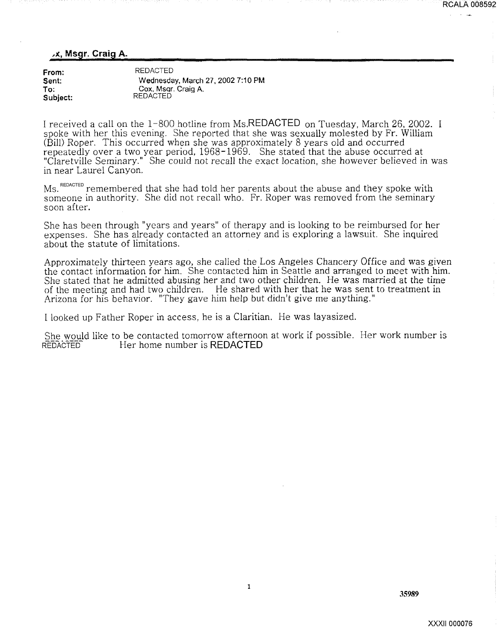#### ~x., Msgr. Craig A.

| From:    | <b>REDACTED</b>                   |
|----------|-----------------------------------|
| Sent:    | Wednesday, March 27, 2002 7:10 PM |
| To:      | Cox, Msgr. Craig A.               |
| Subject: | <b>REDACTED</b>                   |

I received a call on the 1-800 hotline from Ms.REDACTED on Tuesday, March 26, 2002. I spoke with her this evening. She reported that she was sexually molested by Fr. William (Bill) Roper. This occurred when she was approximately 8 years old and occurred repeatedly over a two year period, 1968-1969. She stated that the abuse occurred at "Claretville Seminary." She could not recall the exact location, she however believed in was in near Laurel Canyon.

Ms. REDACTED remembered that she had told her parents about the abuse and they spoke with someone in authority. She did not recall who. Fr. Roper was removed from the seminary soon after.

She has been through "years and years" of therapy and is looking to be reimbursed for her expenses. She has already contacted an attorney and is exploring a lawsuit. She inquired about the statute of limitations.

Approximately thirteen years ago, she called the Los Angeles Chancery Office and was given the contact information for him. She contacted him in Seattle and arranged to meet with him. She stated that he admitted abusing her and two other children. He was married at the time of the meeting and had two children. He shared with her that he was sent to treatment in Arizona for his behavior. "They gave him help but didn't give me anything."

I looked up Father Roper in access, he is a Claritian. He was layasized.

She would like to be contacted tomorrow afternoon at work if possible. Her work number is REDACTED<br>REDACTED<br>Her home number is REDACTED Her home number is REDACTED

RCALA 008592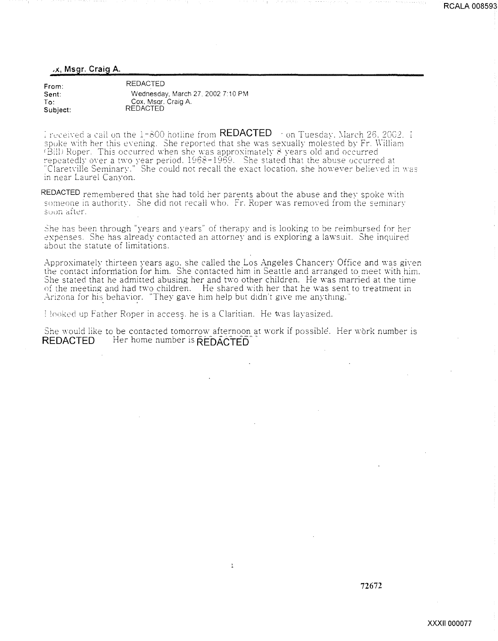#### ,x, Msgr. Craig A.

| From:    | <b>REDACTED</b>                   |
|----------|-----------------------------------|
| Sent:    | Wednesday, March 27, 2002 7:10 PM |
| To.      | Cox, Msgr. Craig A.               |
| Subject: | <b>REDACTED</b>                   |

: received a call on the 1-800 hotline from  $\sf{REDACIED} \rightarrow$  on Tuesday. March 26, 2002. I spoke with her this evening. She reported that she was sexually molested by Fr. William (Bill) Roper. This occurred when she was approximately  $8$  years old and occurred. repeatedly over a two year period.  $1968-1969$ . She stated that the abuse occurred at "Claretville Seminary." She could not recall the exact location, she however believed in  ${\rm was}$ in near Laurel Canyon.

REDACTED remembered that she had told her parents about the abuse and they spoke with someone in authority. She did not recall who. Fr. Roper was removed from the seminary soon after.

She has been through "years and years" of therapy and is looking to be reimbursed for her expenses. She has already contacted an attorney and is exploring a lawsuit. She inquired about the statute of limitations.

Approximately thirteen years ago. she called the Los Angeles Chancery Office and was given the contact inforrriation for him. She contacted him in Seattle and arranged to meet with him. She stated that he admitted abusing her and two other children. He was married at the time of the meeting and had two children. He shared with her that he was sent to treatment in  $\rm Arizon$  for his behavior. "They gave him help but didn't give me anything."

Hooked up Father Roper in access, he is a Claritian. He was layasized.

She would like to be contacted tomorrow afternoon at work if possible. Her work number is REDACTED Her home number is REDACTED

 $\,1\,$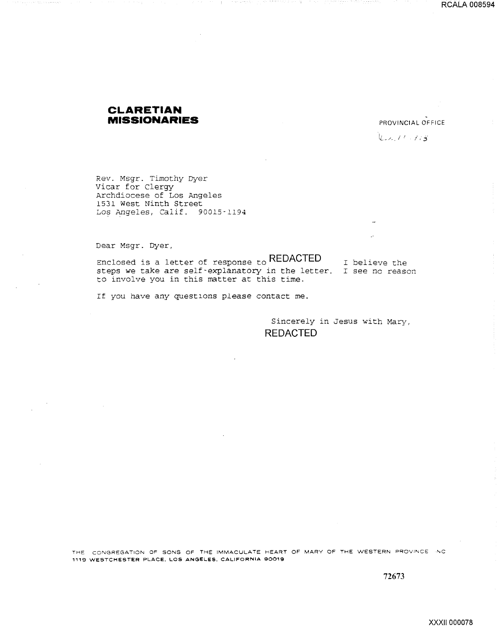## **CLARETIAN MISSIONARIES** PROVINCIAL OFFICE

lL.- ./ ~. *i* / / ' **j.** 

Rev. Msgr. Timothy Dyer Vicar for Clergy Archdiocese of Los Angeles 1531 west Ninth Street Los Angeles, Calif. 90015-1194

Dear Msgr. Dyer,

Enclosed is a letter of response to **REDACTED**  steps we take are self-explanatory in the letter. I see no reason to involve you in this matter at this time. I believe the

If you have any questlons please contact me.

Sincerely in Jesus with Mary, **REDACTED** 

THE CONGREGATION OF SONS OF THE IMMACULATE HEART OF MARY OF THE WESTERN PROVINCE INC 1119 WESTCHESTER PLACE. LOS **ANGELES.** CALIFORNIA 90019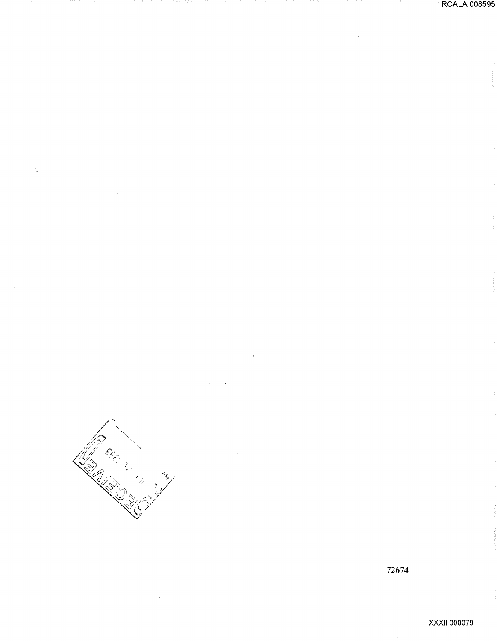



**XXXII 000079**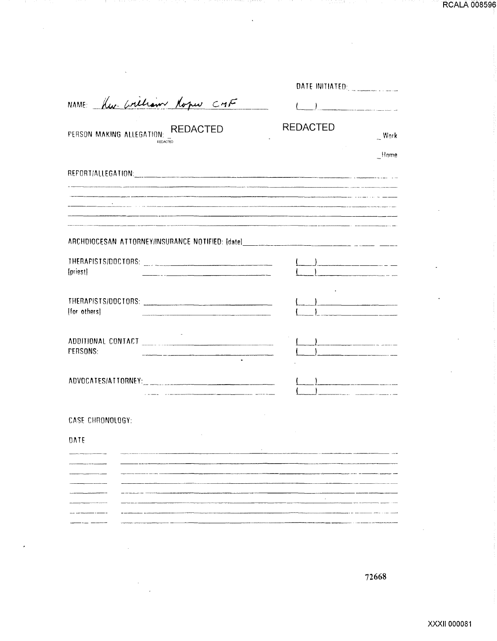RCALA 008596

an namu

| NAME: Kw. Crellian Roper CMF                                                      | $\left(\begin{array}{cc} 1 & 1 \end{array}\right)$ |                                                                                                                                                                                                                                |
|-----------------------------------------------------------------------------------|----------------------------------------------------|--------------------------------------------------------------------------------------------------------------------------------------------------------------------------------------------------------------------------------|
| PERSON MAKING ALLEGATION: _REDACTED                                               | <b>REDACTED</b>                                    | Work                                                                                                                                                                                                                           |
|                                                                                   |                                                    | Home                                                                                                                                                                                                                           |
|                                                                                   |                                                    |                                                                                                                                                                                                                                |
| $\overline{\phantom{a}}$ . The contract of $\overline{\phantom{a}}$               |                                                    |                                                                                                                                                                                                                                |
| and the state of                                                                  |                                                    |                                                                                                                                                                                                                                |
| ARCHDIOCESAN ATTORNEY/INSURANCE NOTIFIED: [date]_________________________________ |                                                    |                                                                                                                                                                                                                                |
| [priest]                                                                          |                                                    | <u> 1989 - John Harry Harry House, ameri</u> kan                                                                                                                                                                               |
| [for others]                                                                      |                                                    | and a strong process of the company of the company of the company of the company of the company of the company of the company of the company of the company of the company of the company of the company of the company of the |
| <b>FERSONS:</b>                                                                   |                                                    |                                                                                                                                                                                                                                |
| ADVOCATES/ATTORNEY: CONTRACTOR CONTRACTOR                                         |                                                    |                                                                                                                                                                                                                                |
| CASE CHRONOLOGY:                                                                  |                                                    |                                                                                                                                                                                                                                |
| <b>DATE</b>                                                                       |                                                    |                                                                                                                                                                                                                                |
|                                                                                   |                                                    |                                                                                                                                                                                                                                |
|                                                                                   |                                                    |                                                                                                                                                                                                                                |
|                                                                                   |                                                    |                                                                                                                                                                                                                                |
|                                                                                   |                                                    |                                                                                                                                                                                                                                |
|                                                                                   |                                                    |                                                                                                                                                                                                                                |
|                                                                                   |                                                    |                                                                                                                                                                                                                                |

- 1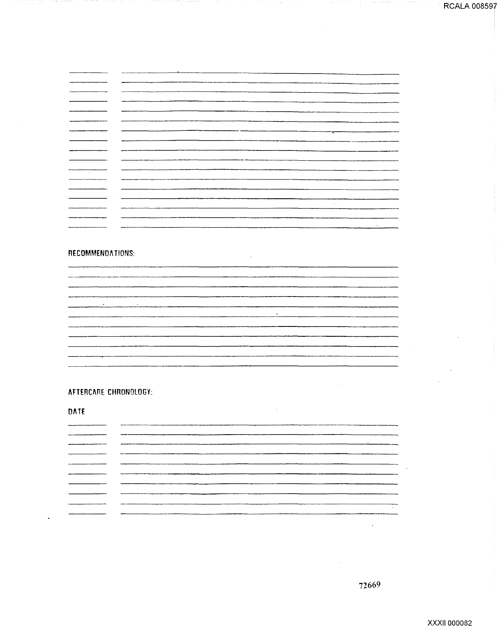19 - 539

|                   | <b>Contract</b> |
|-------------------|-----------------|
|                   |                 |
|                   | ————            |
|                   |                 |
| ________          |                 |
|                   |                 |
| <b>Contractor</b> |                 |
|                   |                 |
|                   |                 |
|                   |                 |
|                   |                 |
|                   |                 |
|                   | $\sim$          |

-11

#### RECOMMENDATIONS:

 $\sim 10^{-1}$  $\sim$  $\overline{a}$ 

 $\bar{\beta}$ 

AFTERCARE CHRONOLOGY:

**DATE** 

72669

 $\hat{\boldsymbol{\beta}}$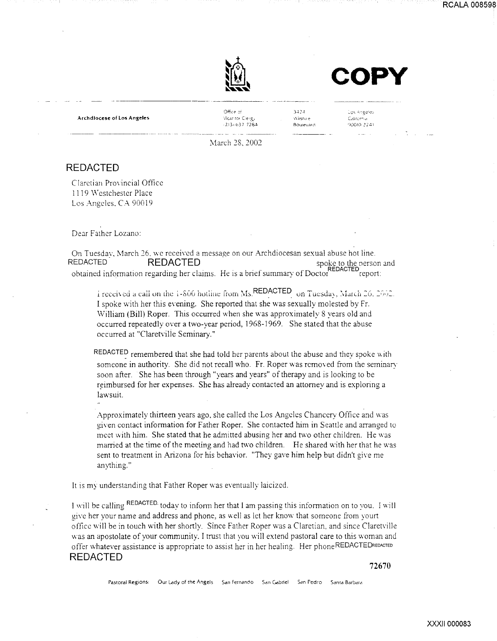



Archdiocese of los Angeles

·------·-----

 $Off$ ce  $\sim$ Vicar for Clergy  $-213 + 637$  7284  $3.4.24$  $\sqrt{t}$ istar $\pm$ Boutevard

Los Angeles California ')l)Q!O! 24i

March 28, 2002

## REDACTED

Claretian Provincial Office 1119 Westchester Place Los Angeles. CA 90019

Dear Father Lozano:

On Tuesday, March 26, we received a message on our Archdiocesan sexual abuse hot line.<br>REDACTED spoke to the person REDACTED- REDACTED . . spoke to the nerson and obtained information regarding her claims. He is a brief summary of Doctor REDACTED report:

i received a call on the  $i$ -S00 hotiine from Ms. REDACTED on Tuesday, March 26, 2002. I spoke with her this evening. She reported that she was sexually molested by Fr. William (Bill) Roper. This occurred when she was approximately 8 years old and occurred repeatedly· over a two-year period, I 968-1969. She stated that the abuse occurred at "Ciaretvilie Seminary."

REDACTED remembered that she had told her parents about the abuse and they spoke with someone in authority. She did not recall who. Fr. Roper was removed from the seminary soon after. She has been through "years and years" of therapy and is looking to be reimbursed for her expenses. She has already contacted an attorney and is exploring a lawsuit.

Approximately thirteen years ago, she called the Los Angeles Chancery Office and was given contact information for Father Roper. She contacted him in Seattle and arranged to meet with him. She stated that he admitted abusing her and two other children. He was married at the time of the meeting and had two children. He shared with her that he was sent to treatment in Arizona for his behavior. "They gave him help but didn't give me anything."

It is my understanding that Father Roper was eventually laicized.

I will be calling REDACTED. today to inform her that I am passing this information on to you. I will give her your name and address and phone, as well as let her know that someone from yourt office will be in touch with her shortly. Since Father Roper was a Claretian, and since Claretville was an apostolate of your community. I trust that you will extend pastoral care to this woman and offer whatever assistance is appropriate to assist her in her healing. Her phoneREDACTEDREoAcTEo REDACTED

72670

Pastoral Regions: Our Lady of the Angels San Fernando San Gabriel San Pedro Santa Barbara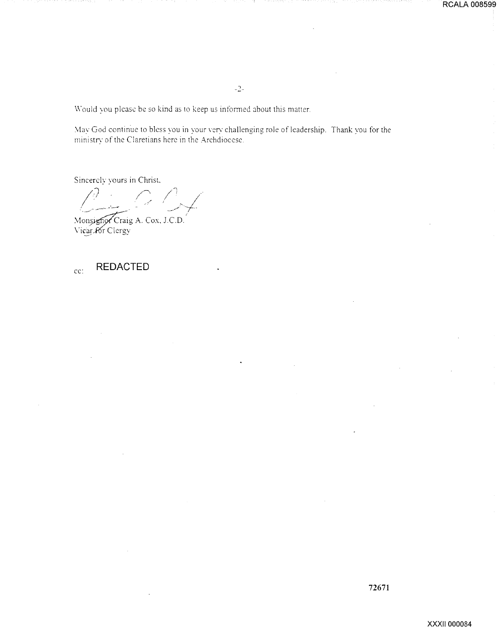Would you please be so kind as to keep us informed about this matter.

May God continue to bless you in your very challenging role of leadership. Thank you for the ministry of the Claretians here in the Archdiocese.

Sincerely yours in Christ.

 $\mathbb{C}/\mathbb{C}$ 

Monsignor Craig A. Cox, J.C.D.

#### **REDACTED**  $cc$ :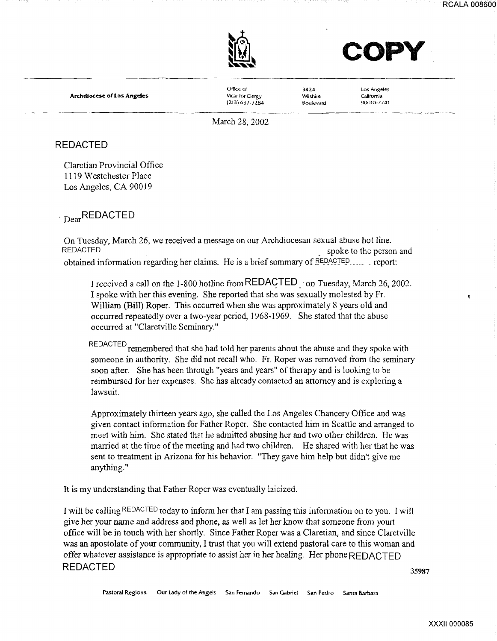$\mathbf{r}$ 



**COPY** 

Archdiocese of Los Angeles

Office of VIcar for Clergy (213)637-7284

3.424 Wilshire Boulevard

Los Angeles California 90010-2241 --------------· ·--···----

March 28, 2002

## REDACTED

Claretian Provincial Office 1119 Westchester Place Los Angeles, CA 90019

. <sub>Dear</sub>REDACTED

On Tuesday, March 26, we received a message on our Archdiocesan sexual abuse bot line. REDACTED **•.** spoke to the person and **the person and** obtained information regarding her claims. He is a brief summary of **REDACTED** ...... report:

I received a call on the 1-800 hotline from REDAGTED. ·on Tuesday, March 26, 2002. I spoke with her this evening. She reported that she was sexually molested by Fr. William (Bill) Roper. This occurred when she was approximately 8 years old and occurred repeatedly over a two-year period, 1968-1969. She stated that the abuse occurred at "Claretville Seminary."

REDACTED remembered that she had told her parents about the abuse and they spoke with someone in authority. She did not recall who. Fr. Roper was removed from the seminary soon after. She bas been through "years and years" of therapy and is looking to be reimbursed for her expenses. She has already contacted an attorney and is exploring a lawsuit.

Approximately thirteen years ago, she called the Los Angeles Chancery Office and was given contact information for Father Roper. She contacted him in Seattle and arranged to meet with him. She stated that he admitted abusing her and two other children. He was married at the time of the meeting and bad two children. He shared with her that he was sent to treatment in Arizona for his behavior. "They gave him help but didn't give me anything."

It is my understanding that Father Roper was eventually laicized.

I will be calling REDACTED today to inform her that I am passing this information on to you. I will give her your name and address and phone, as well as let her know that someone from yourt office will be in touch with her shortly. Since Father Roper was a Claretian, and since Claret ville was an apostolate of your community, I trust that you will extend pastoral care to this woman and offer whatever assistance is appropriate to assist her in her healing. Her phone REDACTED REDACTED 35987